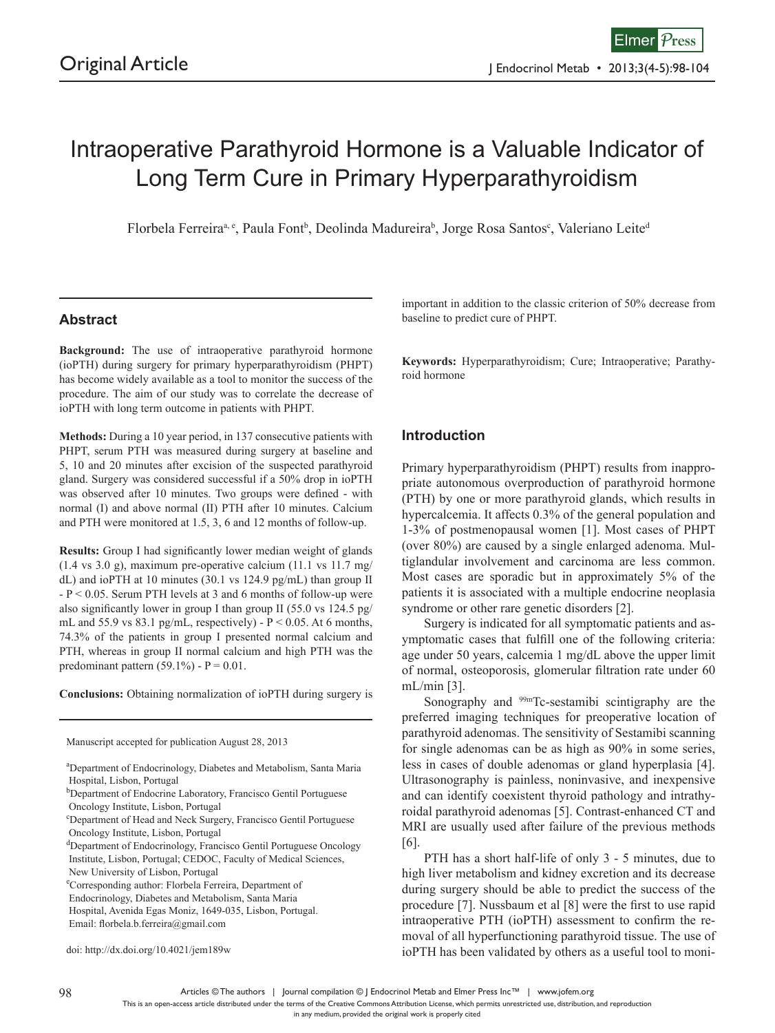# Intraoperative Parathyroid Hormone is a Valuable Indicator of Long Term Cure in Primary Hyperparathyroidism

Florbela Ferreira<sup>a, e</sup>, Paula Font<sup>b</sup>, Deolinda Madureira<sup>b</sup>, Jorge Rosa Santos<sup>c</sup>, Valeriano Leite<sup>d</sup>

## **Abstract**

**Background:** The use of intraoperative parathyroid hormone (ioPTH) during surgery for primary hyperparathyroidism (PHPT) has become widely available as a tool to monitor the success of the procedure. The aim of our study was to correlate the decrease of ioPTH with long term outcome in patients with PHPT.

**Methods:** During a 10 year period, in 137 consecutive patients with PHPT, serum PTH was measured during surgery at baseline and 5, 10 and 20 minutes after excision of the suspected parathyroid gland. Surgery was considered successful if a 50% drop in ioPTH was observed after 10 minutes. Two groups were defined - with normal (I) and above normal (II) PTH after 10 minutes. Calcium and PTH were monitored at 1.5, 3, 6 and 12 months of follow-up.

**Results:** Group I had significantly lower median weight of glands  $(1.4 \text{ vs } 3.0 \text{ g})$ , maximum pre-operative calcium  $(11.1 \text{ vs } 11.7 \text{ mg})$ dL) and ioPTH at 10 minutes (30.1 vs 124.9 pg/mL) than group II - P < 0.05. Serum PTH levels at 3 and 6 months of follow-up were also significantly lower in group I than group II (55.0 vs 124.5 pg/ mL and 55.9 vs 83.1 pg/mL, respectively) -  $P < 0.05$ . At 6 months, 74.3% of the patients in group I presented normal calcium and PTH, whereas in group II normal calcium and high PTH was the predominant pattern  $(59.1\%)$  - P = 0.01.

**Conclusions:** Obtaining normalization of ioPTH during surgery is

Manuscript accepted for publication August 28, 2013

a Department of Endocrinology, Diabetes and Metabolism, Santa Maria Hospital, Lisbon, Portugal

- b Department of Endocrine Laboratory, Francisco Gentil Portuguese Oncology Institute, Lisbon, Portugal
- c Department of Head and Neck Surgery, Francisco Gentil Portuguese Oncology Institute, Lisbon, Portugal
- <sup>d</sup>Department of Endocrinology, Francisco Gentil Portuguese Oncology Institute, Lisbon, Portugal; CEDOC, Faculty of Medical Sciences, New University of Lisbon, Portugal

e Corresponding author: Florbela Ferreira, Department of

Endocrinology, Diabetes and Metabolism, Santa Maria

 Hospital, Avenida Egas Moniz, 1649-035, Lisbon, Portugal. Email: florbela.b.ferreira@gmail.com

doi: http://dx.doi.org/10.4021/jem189w

important in addition to the classic criterion of 50% decrease from baseline to predict cure of PHPT.

**Keywords:** Hyperparathyroidism; Cure; Intraoperative; Parathyroid hormone

### **Introduction**

Primary hyperparathyroidism (PHPT) results from inappropriate autonomous overproduction of parathyroid hormone (PTH) by one or more parathyroid glands, which results in hypercalcemia. It affects  $0.3\%$  of the general population and 1-3% of postmenopausal women [1]. Most cases of PHPT (over 80%) are caused by a single enlarged adenoma. Multiglandular involvement and carcinoma are less common. Most cases are sporadic but in approximately 5% of the patients it is associated with a multiple endocrine neoplasia syndrome or other rare genetic disorders [2].

Surgery is indicated for all symptomatic patients and asymptomatic cases that fulfill one of the following criteria: age under 50 years, calcemia 1 mg/dL above the upper limit of normal, osteoporosis, glomerular filtration rate under 60 mL/min [3].

Sonography and <sup>99m</sup>Tc-sestamibi scintigraphy are the preferred imaging techniques for preoperative location of parathyroid adenomas. The sensitivity of Sestamibi scanning for single adenomas can be as high as 90% in some series, less in cases of double adenomas or gland hyperplasia [4]. Ultrasonography is painless, noninvasive, and inexpensive and can identify coexistent thyroid pathology and intrathyroidal parathyroid adenomas [5]. Contrast-enhanced CT and MRI are usually used after failure of the previous methods [6].

PTH has a short half-life of only 3 - 5 minutes, due to high liver metabolism and kidney excretion and its decrease during surgery should be able to predict the success of the procedure [7]. Nussbaum et al [8] were the first to use rapid intraoperative PTH (ioPTH) assessment to confirm the removal of all hyperfunctioning parathyroid tissue. The use of ioPTH has been validated by others as a useful tool to moni-

Articles © The authors | Journal compilation © J Endocrinol Metab and Elmer Press Inc™ | www.jofem.org 98 99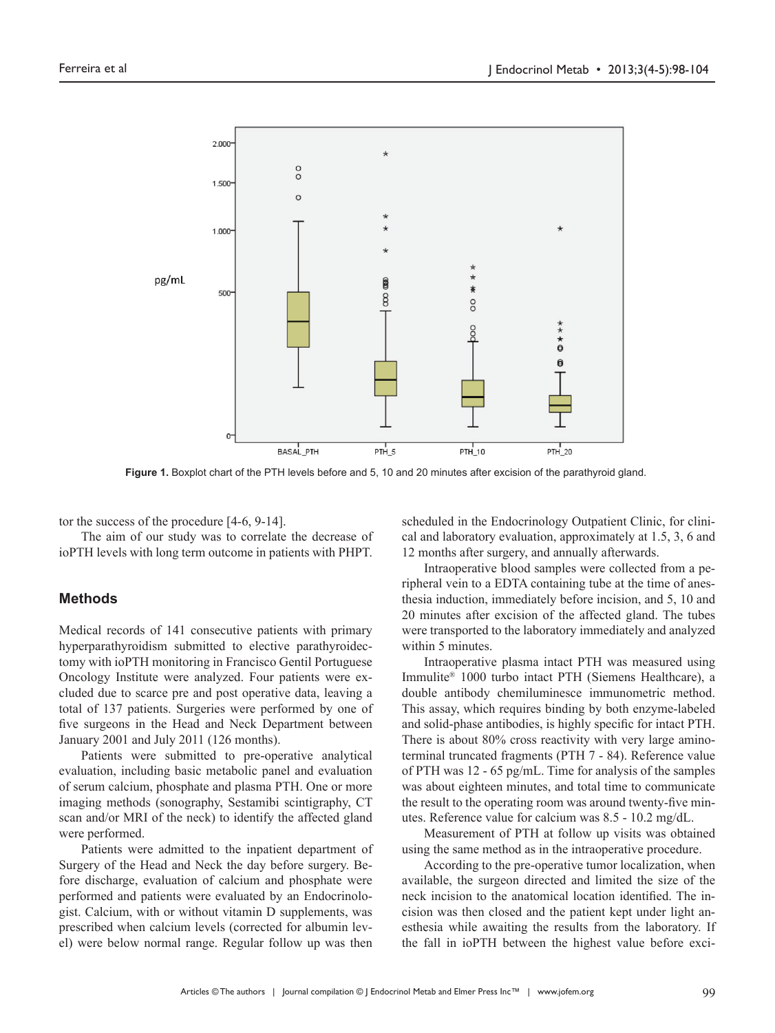

**Figure 1.** Boxplot chart of the PTH levels before and 5, 10 and 20 minutes after excision of the parathyroid gland.

tor the success of the procedure [4-6, 9-14].

The aim of our study was to correlate the decrease of ioPTH levels with long term outcome in patients with PHPT.

#### **Methods**

Medical records of 141 consecutive patients with primary hyperparathyroidism submitted to elective parathyroidectomy with ioPTH monitoring in Francisco Gentil Portuguese Oncology Institute were analyzed. Four patients were excluded due to scarce pre and post operative data, leaving a total of 137 patients. Surgeries were performed by one of five surgeons in the Head and Neck Department between January 2001 and July 2011 (126 months).

Patients were submitted to pre-operative analytical evaluation, including basic metabolic panel and evaluation of serum calcium, phosphate and plasma PTH. One or more imaging methods (sonography, Sestamibi scintigraphy, CT scan and/or MRI of the neck) to identify the affected gland were performed.

Patients were admitted to the inpatient department of Surgery of the Head and Neck the day before surgery. Before discharge, evaluation of calcium and phosphate were performed and patients were evaluated by an Endocrinologist. Calcium, with or without vitamin D supplements, was prescribed when calcium levels (corrected for albumin level) were below normal range. Regular follow up was then

scheduled in the Endocrinology Outpatient Clinic, for clinical and laboratory evaluation, approximately at 1.5, 3, 6 and 12 months after surgery, and annually afterwards.

Intraoperative blood samples were collected from a peripheral vein to a EDTA containing tube at the time of anesthesia induction, immediately before incision, and 5, 10 and 20 minutes after excision of the affected gland. The tubes were transported to the laboratory immediately and analyzed within 5 minutes.

Intraoperative plasma intact PTH was measured using Immulite® 1000 turbo intact PTH (Siemens Healthcare), a double antibody chemiluminesce immunometric method. This assay, which requires binding by both enzyme-labeled and solid-phase antibodies, is highly specific for intact PTH. There is about 80% cross reactivity with very large aminoterminal truncated fragments (PTH 7 - 84). Reference value of PTH was 12 - 65 pg/mL. Time for analysis of the samples was about eighteen minutes, and total time to communicate the result to the operating room was around twenty-five minutes. Reference value for calcium was 8.5 - 10.2 mg/dL.

Measurement of PTH at follow up visits was obtained using the same method as in the intraoperative procedure.

According to the pre-operative tumor localization, when available, the surgeon directed and limited the size of the neck incision to the anatomical location identified. The incision was then closed and the patient kept under light anesthesia while awaiting the results from the laboratory. If the fall in ioPTH between the highest value before exci-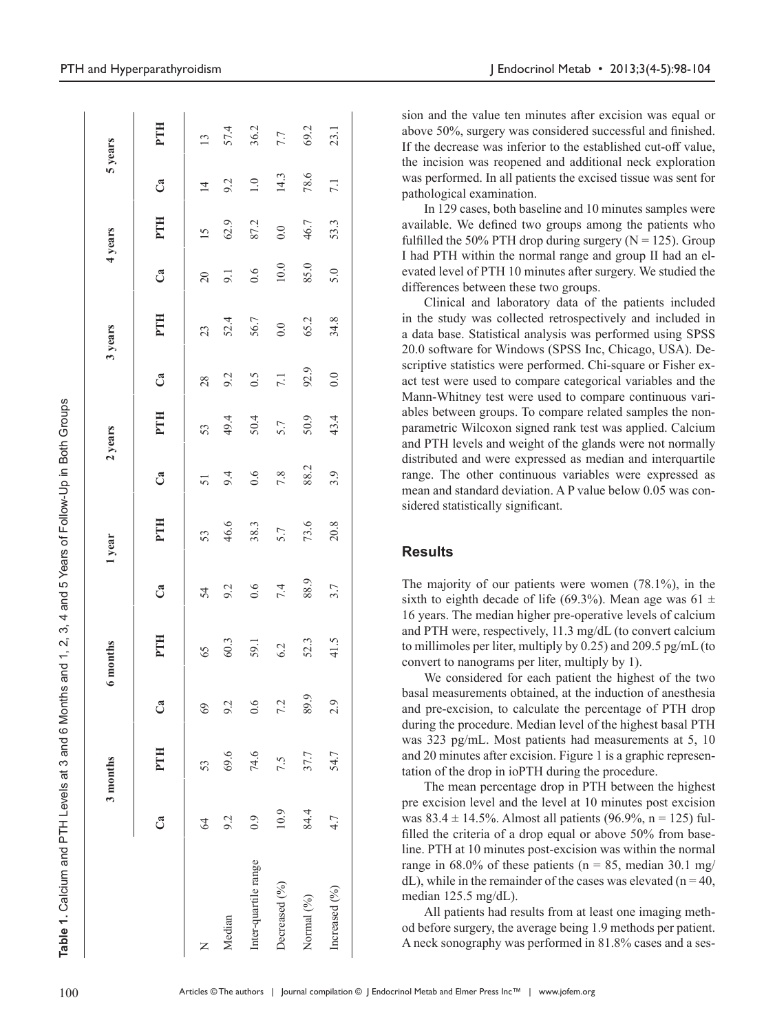| )<br>2<br>2<br>2<br>2<br>2<br>2 |
|---------------------------------|
|                                 |
|                                 |
|                                 |
|                                 |
|                                 |
| $\overline{\phantom{0}}$        |
|                                 |
| 5<br>5<br>5<br>5                |
|                                 |
|                                 |
|                                 |
|                                 |
|                                 |
| l                               |
|                                 |
|                                 |
|                                 |
|                                 |
|                                 |
|                                 |
|                                 |
|                                 |
| ï                               |
|                                 |
|                                 |
|                                 |
|                                 |
|                                 |
|                                 |
|                                 |
| condition<br>$\frac{1}{2}$      |
|                                 |
|                                 |
|                                 |
|                                 |
|                                 |
|                                 |
| د<br>م                          |
|                                 |
|                                 |
|                                 |
|                                 |
|                                 |
|                                 |
|                                 |
|                                 |
|                                 |
|                                 |
|                                 |
|                                 |
|                                 |
|                                 |
|                                 |
| $\frac{1}{2}$                   |
|                                 |
|                                 |
|                                 |
| i<br>!<br>:                     |
|                                 |
|                                 |
|                                 |
|                                 |
|                                 |
|                                 |
|                                 |
|                                 |
| Table 1.                        |

9

|                      |       | 3 months |      | 6 months   |      | 1 year |      | 2 years |      | 3 years |                | 4 years       |                   | 5 years         |
|----------------------|-------|----------|------|------------|------|--------|------|---------|------|---------|----------------|---------------|-------------------|-----------------|
|                      | ී     | PTH      | ී    | <b>PTH</b> | ී    | PTH    | ී    | PTH     | ී    | PTH     | ී              | PTH           | ී                 | PTH             |
| Z                    | $\Im$ | 53       | 69   | 65         | 54   | 53     | 51   | 53      | 28   | 23      | $\overline{c}$ | $\frac{5}{2}$ | $\overline{4}$    | $\overline{13}$ |
| Median               | 9.2   | 69.6     | 9.2  | 60.3       | 9.2  | 46.6   | 9.4  | 49.4    | 9.2  | 52.4    | 9.1            | 62.9          | 9.2               | 57.4            |
| Inter-quartile range | 0.9   | 74.6     | 0.6  | 59.1       | 0.6  | 38.3   | 0.6  | 50.4    | 0.5  | 56.7    | 0.6            | 87.2          | $\overline{1}$ .0 | 36.2            |
| Decreased (%)        | 10.9  | 7.5      | 7.2  | 6.2        | 7.4  | 5.7    | 7.8  | 5.7     | 7.1  | 0.0     | $10.0$         | 0.0           | 14.3              | 7.7             |
| Normal (%)           | 84.4  | 37.7     | 89.9 | 52.3       | 88.9 | 73.6   | 88.2 | 50.9    | 92.9 | 65.2    | 85.0           | 46.7          | 78.6              | 69.2            |
| Increased (%)        | 4.7   | 54.7     | 2.9  | 41.5       | 3.7  | 20.8   | 3.9  | 43.4    | 0.0  | 34.8    | 5.0            | 53.3          | 7.1               | 23.1            |
|                      |       |          |      |            |      |        |      |         |      |         |                |               |                   |                 |

sion and the value ten minutes after excision was equal or above 50%, surgery was considered successful and finished. If the decrease was inferior to the established cut-off value, the incision was reopened and additional neck exploration was performed. In all patients the excised tissue was sent for pathological examination.

In 129 cases, both baseline and 10 minutes samples were available. We defined two groups among the patients who fulfilled the 50% PTH drop during surgery ( $N = 125$ ). Group I had PTH within the normal range and group II had an elevated level of PTH 10 minutes after surgery. We studied the differences between these two groups.

Clinical and laboratory data of the patients included in the study was collected retrospectively and included in a data base. Statistical analysis was performed using SPSS 20.0 software for Windows (SPSS Inc, Chicago, USA). Descriptive statistics were performed. Chi-square or Fisher exact test were used to compare categorical variables and the Mann-Whitney test were used to compare continuous variables between groups. To compare related samples the nonparametric Wilcoxon signed rank test was applied. Calcium and PTH levels and weight of the glands were not normally distributed and were expressed as median and interquartile range. The other continuous variables were expressed as mean and standard deviation. A P value below 0.05 was considered statistically significant.

#### **Results**

The majority of our patients were women (78.1%), in the sixth to eighth decade of life (69.3%). Mean age was 61  $\pm$ 16 years. The median higher pre-operative levels of calcium and PTH were, respectively, 11.3 mg/dL (to convert calcium to millimoles per liter, multiply by 0.25) and 209.5 pg/mL (to convert to nanograms per liter, multiply by 1).

We considered for each patient the highest of the two basal measurements obtained, at the induction of anesthesia and pre-excision, to calculate the percentage of PTH drop during the procedure. Median level of the highest basal PTH was 323 pg/mL. Most patients had measurements at 5, 10 and 20 minutes after excision. Figure 1 is a graphic representation of the drop in ioPTH during the procedure.

The mean percentage drop in PTH between the highest pre excision level and the level at 10 minutes post excision was  $83.4 \pm 14.5\%$ . Almost all patients (96.9%, n = 125) fulfilled the criteria of a drop equal or above 50% from baseline. PTH at 10 minutes post-excision was within the normal range in  $68.0\%$  of these patients (n = 85, median 30.1 mg/  $dL$ ), while in the remainder of the cases was elevated (n = 40, median 125.5 mg/dL).

All patients had results from at least one imaging method before surgery, the average being 1.9 methods per patient. A neck sonography was performed in 81.8% cases and a ses-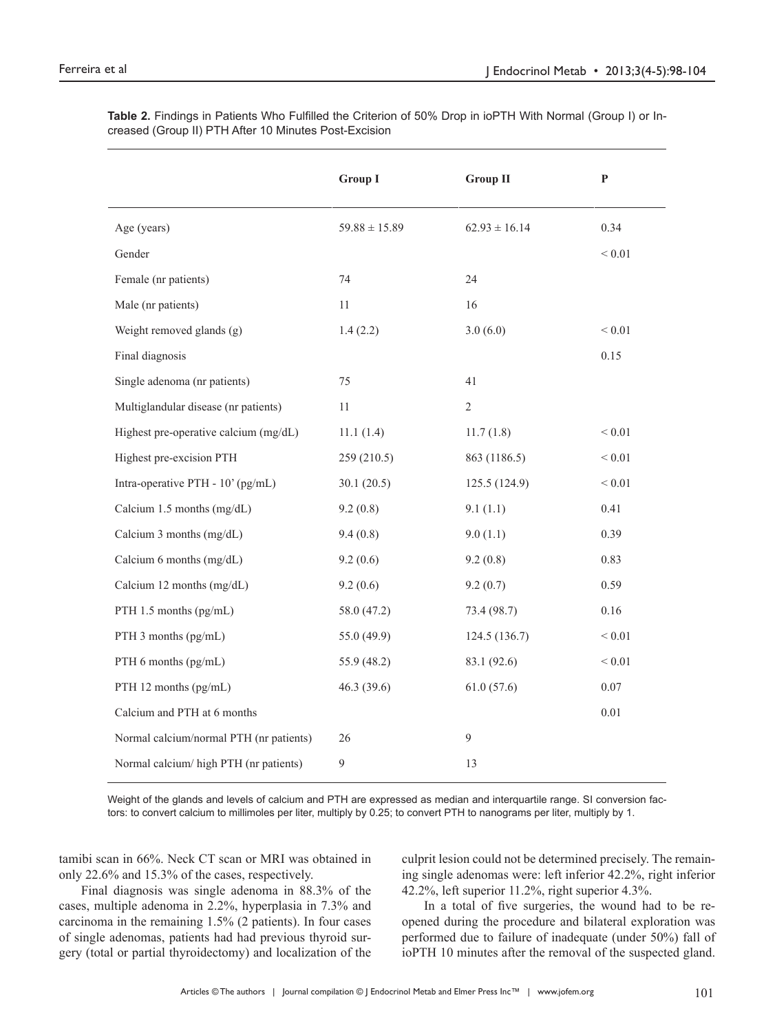|                                         | <b>Group I</b>    | <b>Group II</b>   | P          |
|-----------------------------------------|-------------------|-------------------|------------|
| Age (years)                             | $59.88 \pm 15.89$ | $62.93 \pm 16.14$ | 0.34       |
| Gender                                  |                   |                   | ${}< 0.01$ |
| Female (nr patients)                    | 74                | 24                |            |
| Male (nr patients)                      | 11                | 16                |            |
| Weight removed glands (g)               | 1.4(2.2)          | 3.0(6.0)          | ${}< 0.01$ |
| Final diagnosis                         |                   |                   | 0.15       |
| Single adenoma (nr patients)            | 75                | 41                |            |
| Multiglandular disease (nr patients)    | 11                | $\overline{2}$    |            |
| Highest pre-operative calcium (mg/dL)   | 11.1(1.4)         | 11.7(1.8)         | ${}< 0.01$ |
| Highest pre-excision PTH                | 259 (210.5)       | 863 (1186.5)      | ${}< 0.01$ |
| Intra-operative PTH - 10' (pg/mL)       | 30.1(20.5)        | 125.5 (124.9)     | ${}< 0.01$ |
| Calcium 1.5 months (mg/dL)              | 9.2(0.8)          | 9.1(1.1)          | 0.41       |
| Calcium 3 months (mg/dL)                | 9.4(0.8)          | 9.0(1.1)          | 0.39       |
| Calcium 6 months (mg/dL)                | 9.2(0.6)          | 9.2(0.8)          | 0.83       |
| Calcium 12 months (mg/dL)               | 9.2(0.6)          | 9.2(0.7)          | 0.59       |
| PTH 1.5 months (pg/mL)                  | 58.0 (47.2)       | 73.4 (98.7)       | 0.16       |
| PTH 3 months (pg/mL)                    | 55.0(49.9)        | 124.5 (136.7)     | $< 0.01$   |
| PTH 6 months (pg/mL)                    | 55.9 (48.2)       | 83.1 (92.6)       | ${}< 0.01$ |
| PTH 12 months (pg/mL)                   | 46.3(39.6)        | 61.0(57.6)        | 0.07       |
| Calcium and PTH at 6 months             |                   |                   | 0.01       |
| Normal calcium/normal PTH (nr patients) | 26                | $\overline{9}$    |            |
| Normal calcium/ high PTH (nr patients)  | 9                 | 13                |            |

**Table 2.** Findings in Patients Who Fulfilled the Criterion of 50% Drop in ioPTH With Normal (Group I) or Increased (Group II) PTH After 10 Minutes Post-Excision

Weight of the glands and levels of calcium and PTH are expressed as median and interquartile range. SI conversion factors: to convert calcium to millimoles per liter, multiply by 0.25; to convert PTH to nanograms per liter, multiply by 1.

tamibi scan in 66%. Neck CT scan or MRI was obtained in only 22.6% and 15.3% of the cases, respectively.

Final diagnosis was single adenoma in 88.3% of the cases, multiple adenoma in 2.2%, hyperplasia in 7.3% and carcinoma in the remaining 1.5% (2 patients). In four cases of single adenomas, patients had had previous thyroid surgery (total or partial thyroidectomy) and localization of the

culprit lesion could not be determined precisely. The remaining single adenomas were: left inferior 42.2%, right inferior 42.2%, left superior 11.2%, right superior 4.3%.

In a total of five surgeries, the wound had to be reopened during the procedure and bilateral exploration was performed due to failure of inadequate (under 50%) fall of ioPTH 10 minutes after the removal of the suspected gland.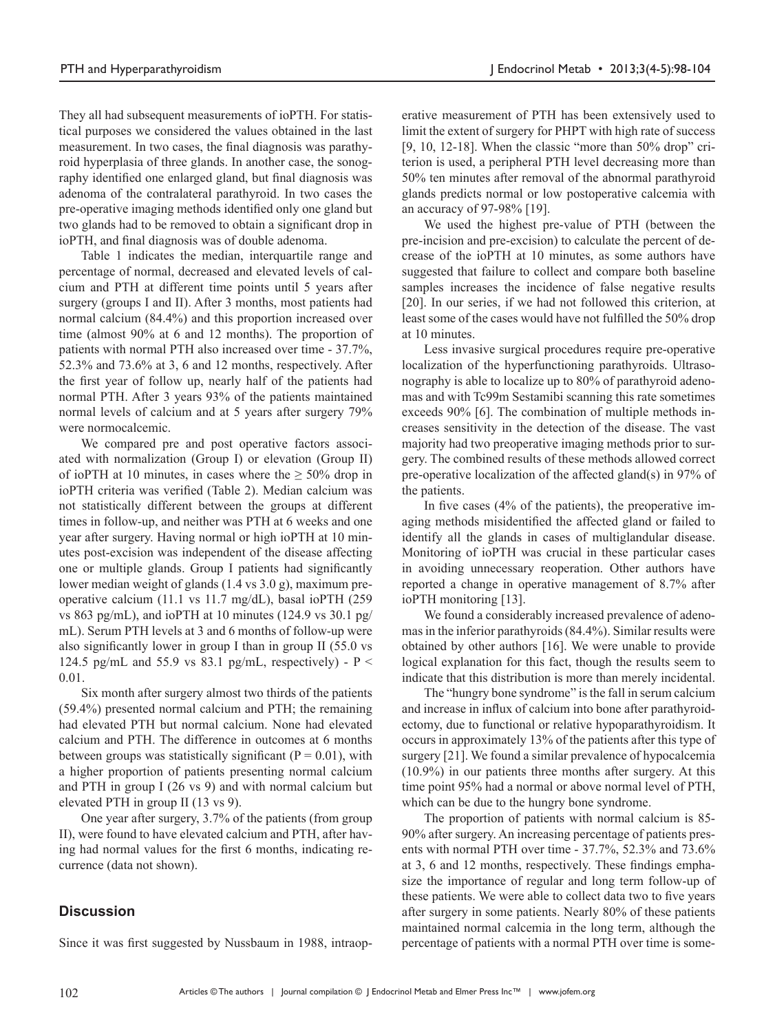They all had subsequent measurements of ioPTH. For statistical purposes we considered the values obtained in the last measurement. In two cases, the final diagnosis was parathyroid hyperplasia of three glands. In another case, the sonography identified one enlarged gland, but final diagnosis was adenoma of the contralateral parathyroid. In two cases the pre-operative imaging methods identified only one gland but two glands had to be removed to obtain a significant drop in ioPTH, and final diagnosis was of double adenoma.

Table 1 indicates the median, interquartile range and percentage of normal, decreased and elevated levels of calcium and PTH at different time points until 5 years after surgery (groups I and II). After 3 months, most patients had normal calcium (84.4%) and this proportion increased over time (almost 90% at 6 and 12 months). The proportion of patients with normal PTH also increased over time - 37.7%, 52.3% and 73.6% at 3, 6 and 12 months, respectively. After the first year of follow up, nearly half of the patients had normal PTH. After 3 years 93% of the patients maintained normal levels of calcium and at 5 years after surgery 79% were normocalcemic.

We compared pre and post operative factors associated with normalization (Group I) or elevation (Group II) of ioPTH at 10 minutes, in cases where the  $\geq 50\%$  drop in ioPTH criteria was verified (Table 2). Median calcium was not statistically different between the groups at different times in follow-up, and neither was PTH at 6 weeks and one year after surgery. Having normal or high ioPTH at 10 minutes post-excision was independent of the disease affecting one or multiple glands. Group I patients had significantly lower median weight of glands (1.4 vs 3.0 g), maximum preoperative calcium (11.1 vs 11.7 mg/dL), basal ioPTH (259 vs 863 pg/mL), and ioPTH at 10 minutes (124.9 vs 30.1 pg/ mL). Serum PTH levels at 3 and 6 months of follow-up were also significantly lower in group I than in group II (55.0 vs 124.5 pg/mL and 55.9 vs 83.1 pg/mL, respectively) -  $P \le$ 0.01.

Six month after surgery almost two thirds of the patients (59.4%) presented normal calcium and PTH; the remaining had elevated PTH but normal calcium. None had elevated calcium and PTH. The difference in outcomes at 6 months between groups was statistically significant ( $P = 0.01$ ), with a higher proportion of patients presenting normal calcium and PTH in group I (26 vs 9) and with normal calcium but elevated PTH in group II (13 vs 9).

One year after surgery, 3.7% of the patients (from group II), were found to have elevated calcium and PTH, after having had normal values for the first 6 months, indicating recurrence (data not shown).

## **Discussion**

Since it was first suggested by Nussbaum in 1988, intraop-

erative measurement of PTH has been extensively used to limit the extent of surgery for PHPT with high rate of success  $[9, 10, 12-18]$ . When the classic "more than 50% drop" criterion is used, a peripheral PTH level decreasing more than 50% ten minutes after removal of the abnormal parathyroid glands predicts normal or low postoperative calcemia with an accuracy of 97-98% [19].

We used the highest pre-value of PTH (between the pre-incision and pre-excision) to calculate the percent of decrease of the ioPTH at 10 minutes, as some authors have suggested that failure to collect and compare both baseline samples increases the incidence of false negative results [20]. In our series, if we had not followed this criterion, at least some of the cases would have not fulfilled the 50% drop at 10 minutes.

Less invasive surgical procedures require pre-operative localization of the hyperfunctioning parathyroids. Ultrasonography is able to localize up to 80% of parathyroid adenomas and with Tc99m Sestamibi scanning this rate sometimes exceeds 90% [6]. The combination of multiple methods increases sensitivity in the detection of the disease. The vast majority had two preoperative imaging methods prior to surgery. The combined results of these methods allowed correct pre-operative localization of the affected gland(s) in 97% of the patients.

In five cases (4% of the patients), the preoperative imaging methods misidentified the affected gland or failed to identify all the glands in cases of multiglandular disease. Monitoring of ioPTH was crucial in these particular cases in avoiding unnecessary reoperation. Other authors have reported a change in operative management of 8.7% after ioPTH monitoring [13].

We found a considerably increased prevalence of adenomas in the inferior parathyroids (84.4%). Similar results were obtained by other authors [16]. We were unable to provide logical explanation for this fact, though the results seem to indicate that this distribution is more than merely incidental.

The "hungry bone syndrome" is the fall in serum calcium and increase in influx of calcium into bone after parathyroidectomy, due to functional or relative hypoparathyroidism. It occurs in approximately 13% of the patients after this type of surgery [21]. We found a similar prevalence of hypocalcemia (10.9%) in our patients three months after surgery. At this time point 95% had a normal or above normal level of PTH, which can be due to the hungry bone syndrome.

The proportion of patients with normal calcium is 85- 90% after surgery. An increasing percentage of patients presents with normal PTH over time - 37.7%, 52.3% and 73.6% at 3, 6 and 12 months, respectively. These findings emphasize the importance of regular and long term follow-up of these patients. We were able to collect data two to five years after surgery in some patients. Nearly 80% of these patients maintained normal calcemia in the long term, although the percentage of patients with a normal PTH over time is some-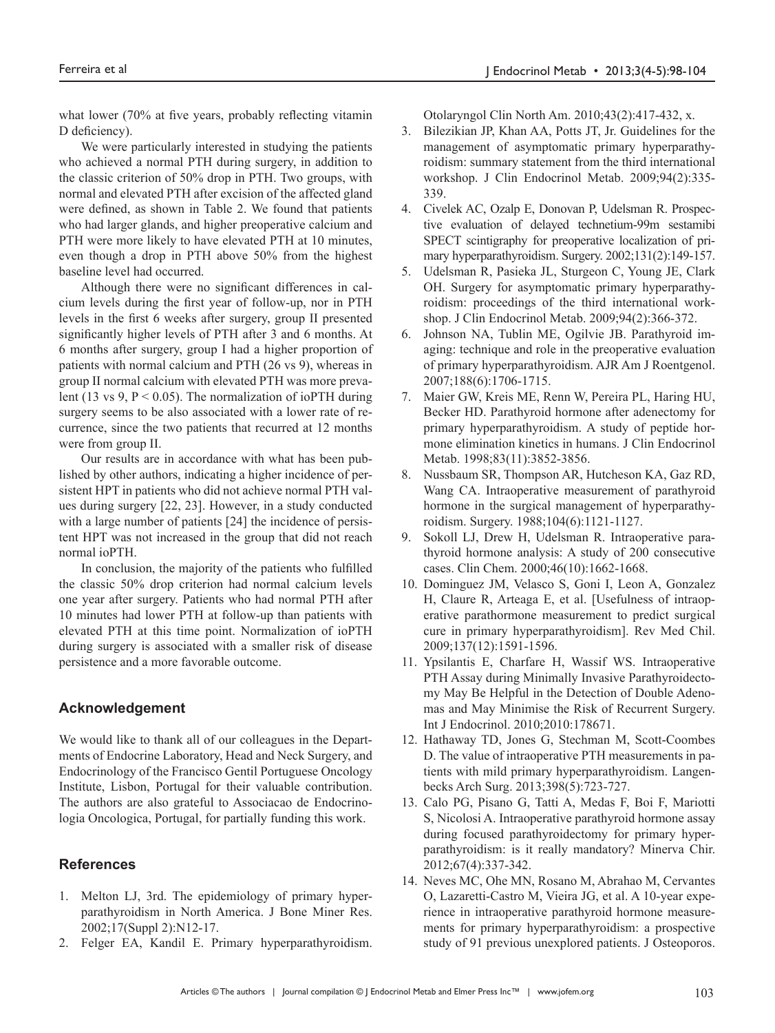what lower (70% at five years, probably reflecting vitamin D deficiency).

We were particularly interested in studying the patients who achieved a normal PTH during surgery, in addition to the classic criterion of 50% drop in PTH. Two groups, with normal and elevated PTH after excision of the affected gland were defined, as shown in Table 2. We found that patients who had larger glands, and higher preoperative calcium and PTH were more likely to have elevated PTH at 10 minutes, even though a drop in PTH above 50% from the highest baseline level had occurred.

Although there were no significant differences in calcium levels during the first year of follow-up, nor in PTH levels in the first 6 weeks after surgery, group II presented significantly higher levels of PTH after 3 and 6 months. At 6 months after surgery, group I had a higher proportion of patients with normal calcium and PTH (26 vs 9), whereas in group II normal calcium with elevated PTH was more prevalent (13 vs 9,  $P < 0.05$ ). The normalization of ioPTH during surgery seems to be also associated with a lower rate of recurrence, since the two patients that recurred at 12 months were from group II.

Our results are in accordance with what has been published by other authors, indicating a higher incidence of persistent HPT in patients who did not achieve normal PTH values during surgery [22, 23]. However, in a study conducted with a large number of patients [24] the incidence of persistent HPT was not increased in the group that did not reach normal ioPTH.

In conclusion, the majority of the patients who fulfilled the classic 50% drop criterion had normal calcium levels one year after surgery. Patients who had normal PTH after 10 minutes had lower PTH at follow-up than patients with elevated PTH at this time point. Normalization of ioPTH during surgery is associated with a smaller risk of disease persistence and a more favorable outcome.

## **Acknowledgement**

We would like to thank all of our colleagues in the Departments of Endocrine Laboratory, Head and Neck Surgery, and Endocrinology of the Francisco Gentil Portuguese Oncology Institute, Lisbon, Portugal for their valuable contribution. The authors are also grateful to Associacao de Endocrinologia Oncologica, Portugal, for partially funding this work.

## **References**

- 1. Melton LJ, 3rd. The epidemiology of primary hyperparathyroidism in North America. J Bone Miner Res. 2002;17(Suppl 2):N12-17.
- 2. Felger EA, Kandil E. Primary hyperparathyroidism.

Otolaryngol Clin North Am. 2010;43(2):417-432, x.

- 3. Bilezikian JP, Khan AA, Potts JT, Jr. Guidelines for the management of asymptomatic primary hyperparathyroidism: summary statement from the third international workshop. J Clin Endocrinol Metab. 2009;94(2):335- 339.
- 4. Civelek AC, Ozalp E, Donovan P, Udelsman R. Prospective evaluation of delayed technetium-99m sestamibi SPECT scintigraphy for preoperative localization of primary hyperparathyroidism. Surgery. 2002;131(2):149-157.
- 5. Udelsman R, Pasieka JL, Sturgeon C, Young JE, Clark OH. Surgery for asymptomatic primary hyperparathyroidism: proceedings of the third international workshop. J Clin Endocrinol Metab. 2009;94(2):366-372.
- 6. Johnson NA, Tublin ME, Ogilvie JB. Parathyroid imaging: technique and role in the preoperative evaluation of primary hyperparathyroidism. AJR Am J Roentgenol. 2007;188(6):1706-1715.
- 7. Maier GW, Kreis ME, Renn W, Pereira PL, Haring HU, Becker HD. Parathyroid hormone after adenectomy for primary hyperparathyroidism. A study of peptide hormone elimination kinetics in humans. J Clin Endocrinol Metab. 1998;83(11):3852-3856.
- 8. Nussbaum SR, Thompson AR, Hutcheson KA, Gaz RD, Wang CA. Intraoperative measurement of parathyroid hormone in the surgical management of hyperparathyroidism. Surgery. 1988;104(6):1121-1127.
- 9. Sokoll LJ, Drew H, Udelsman R. Intraoperative parathyroid hormone analysis: A study of 200 consecutive cases. Clin Chem. 2000;46(10):1662-1668.
- 10. Dominguez JM, Velasco S, Goni I, Leon A, Gonzalez H, Claure R, Arteaga E, et al. [Usefulness of intraoperative parathormone measurement to predict surgical cure in primary hyperparathyroidism]. Rev Med Chil. 2009;137(12):1591-1596.
- 11. Ypsilantis E, Charfare H, Wassif WS. Intraoperative PTH Assay during Minimally Invasive Parathyroidectomy May Be Helpful in the Detection of Double Adenomas and May Minimise the Risk of Recurrent Surgery. Int J Endocrinol. 2010;2010:178671.
- 12. Hathaway TD, Jones G, Stechman M, Scott-Coombes D. The value of intraoperative PTH measurements in patients with mild primary hyperparathyroidism. Langenbecks Arch Surg. 2013;398(5):723-727.
- 13. Calo PG, Pisano G, Tatti A, Medas F, Boi F, Mariotti S, Nicolosi A. Intraoperative parathyroid hormone assay during focused parathyroidectomy for primary hyperparathyroidism: is it really mandatory? Minerva Chir. 2012;67(4):337-342.
- 14. Neves MC, Ohe MN, Rosano M, Abrahao M, Cervantes O, Lazaretti-Castro M, Vieira JG, et al. A 10-year experience in intraoperative parathyroid hormone measurements for primary hyperparathyroidism: a prospective study of 91 previous unexplored patients. J Osteoporos.